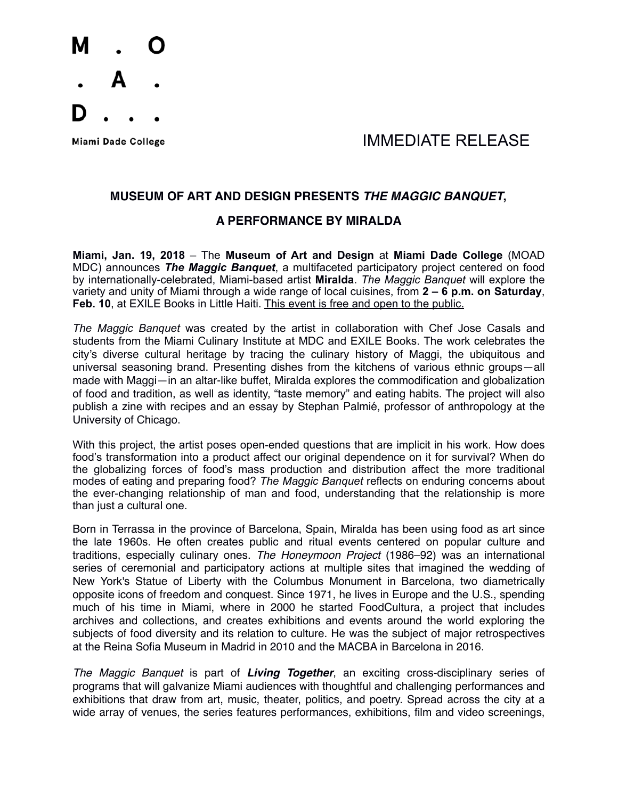

### Miami Dade College **Algebra 2018** MMEDIATE RELEASE

#### **MUSEUM OF ART AND DESIGN PRESENTS** *THE MAGGIC BANQUET***,**

#### **A PERFORMANCE BY MIRALDA**

**Miami, Jan. 19, 2018** – The **Museum of Art and Design** at **Miami Dade College** (MOAD MDC) announces *The Maggic Banquet*, a multifaceted participatory project centered on food by internationally-celebrated, Miami-based artist **Miralda**. *The Maggic Banquet* will explore the variety and unity of Miami through a wide range of local cuisines, from **2 – 6 p.m. on Saturday**, **Feb. 10**, at EXILE Books in Little Haiti. This event is free and open to the public.

*The Maggic Banquet* was created by the artist in collaboration with Chef Jose Casals and students from the Miami Culinary Institute at MDC and EXILE Books. The work celebrates the city's diverse cultural heritage by tracing the culinary history of Maggi, the ubiquitous and universal seasoning brand. Presenting dishes from the kitchens of various ethnic groups—all made with Maggi—in an altar-like buffet, Miralda explores the commodification and globalization of food and tradition, as well as identity, "taste memory" and eating habits. The project will also publish a zine with recipes and an essay by Stephan Palmié, professor of anthropology at the University of Chicago.

With this project, the artist poses open-ended questions that are implicit in his work. How does food's transformation into a product affect our original dependence on it for survival? When do the globalizing forces of food's mass production and distribution affect the more traditional modes of eating and preparing food? *The Maggic Banquet* reflects on enduring concerns about the ever-changing relationship of man and food, understanding that the relationship is more than just a cultural one.

Born in Terrassa in the province of Barcelona, Spain, Miralda has been using food as art since the late 1960s. He often creates public and ritual events centered on popular culture and traditions, especially culinary ones. *The Honeymoon Project* (1986–92) was an international series of ceremonial and participatory actions at multiple sites that imagined the wedding of New York's Statue of Liberty with the Columbus Monument in Barcelona, two diametrically opposite icons of freedom and conquest. Since 1971, he lives in Europe and the U.S., spending much of his time in Miami, where in 2000 he started FoodCultura, a project that includes archives and collections, and creates exhibitions and events around the world exploring the subjects of food diversity and its relation to culture. He was the subject of major retrospectives at the Reina Sofia Museum in Madrid in 2010 and the MACBA in Barcelona in 2016.

*The Maggic Banquet* is part of *Living Together*, an exciting cross-disciplinary series of programs that will galvanize Miami audiences with thoughtful and challenging performances and exhibitions that draw from art, music, theater, politics, and poetry. Spread across the city at a wide array of venues, the series features performances, exhibitions, film and video screenings,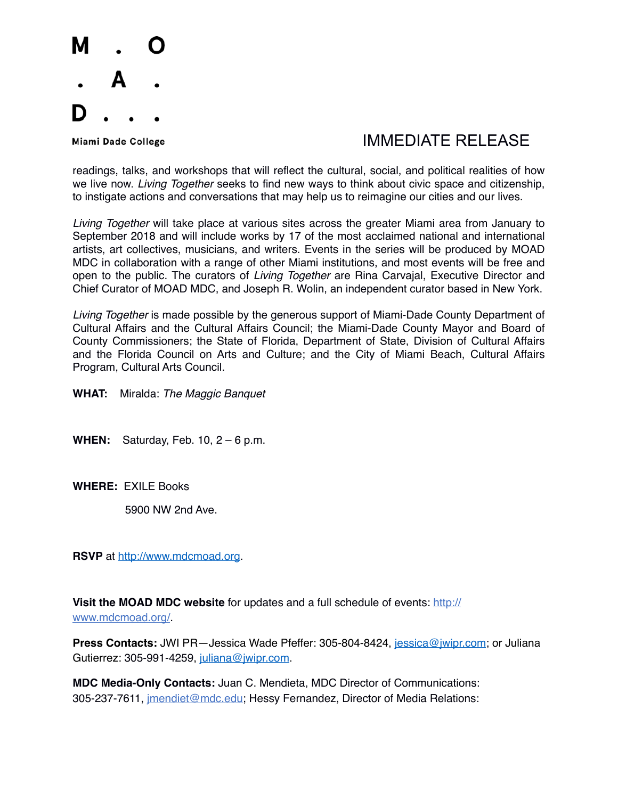

## Miami Dade College The College College College The College The College The Museum of the IMMEDIATE RELEASE

readings, talks, and workshops that will reflect the cultural, social, and political realities of how we live now. *Living Together* seeks to find new ways to think about civic space and citizenship, to instigate actions and conversations that may help us to reimagine our cities and our lives.

*Living Together* will take place at various sites across the greater Miami area from January to September 2018 and will include works by 17 of the most acclaimed national and international artists, art collectives, musicians, and writers. Events in the series will be produced by MOAD MDC in collaboration with a range of other Miami institutions, and most events will be free and open to the public. The curators of *Living Together* are Rina Carvajal, Executive Director and Chief Curator of MOAD MDC, and Joseph R. Wolin, an independent curator based in New York.

*Living Together* is made possible by the generous support of Miami-Dade County Department of Cultural Affairs and the Cultural Affairs Council; the Miami-Dade County Mayor and Board of County Commissioners; the State of Florida, Department of State, Division of Cultural Affairs and the Florida Council on Arts and Culture; and the City of Miami Beach, Cultural Affairs Program, Cultural Arts Council.

**WHAT:** Miralda: *The Maggic Banquet*

**WHEN:** Saturday, Feb. 10, 2 – 6 p.m.

**WHERE:** EXILE Books

5900 NW 2nd Ave.

**RSVP** at<http://www.mdcmoad.org>.

**Visit the MOAD MDC website** for updates and a full schedule of events: [http://](http://www.mdcmoad.org/) [www.mdcmoad.org/.](http://www.mdcmoad.org/)

Press Contacts: JWI PR-Jessica Wade Pfeffer: 305-804-8424, [jessica@jwipr.com;](mailto:jessica@jwipr.com) or Juliana Gutierrez: 305-991-4259, [juliana@jwipr.com.](mailto:juliana@jwipr.com)

**MDC Media-Only Contacts:** Juan C. Mendieta, MDC Director of Communications: 305-237-7611, [jmendiet@mdc.edu;](mailto:jmendiet@mdc.edu) Hessy Fernandez, Director of Media Relations: